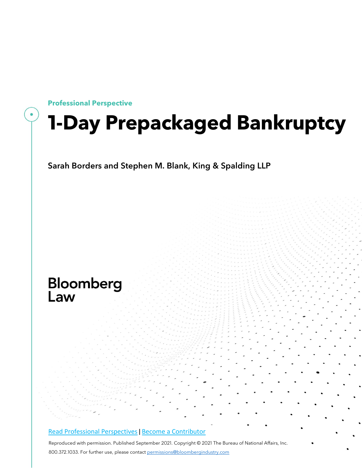

## **1-Day Prepackaged Bankruptcy**

Sarah Borders and Stephen M. Blank, King & Spalding LLP

# Bloomberg<br>Law

#### [Read Professional Perspectives](https://www.bloomberglaw.com/product/blaw/search/results/fce5c55b80fd6db95984633eb48fa7d5?utm_source=ACQ&utm_medium=PRP) [|](https://www.bloomberglaw.com/product/blaw/search/results/fce5c55b80fd6db95984633eb48fa7d5?utm_source=ACQ&utm_medium=PRP) [Become a Contributor](https://pro.bloomberglaw.com/become-a-contributor/?utm_source=ACQ&utm_medium=PRP)

Reproduced with permission. Published September 2021. Copyright © 2021 The Bureau of National Affairs, Inc. 800.372.1033. For further use, please contact [permissions@bloombergindustry.com](mailto:permissions@bloombergindustry.com)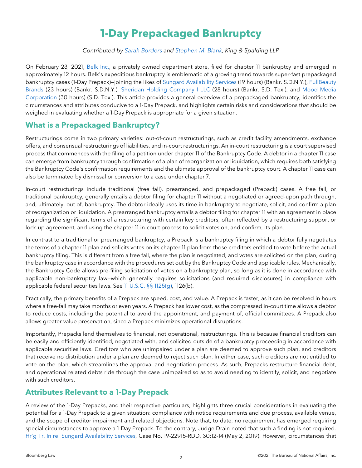## **1-Day Prepackaged Bankruptcy**

*Contributed by Sarah [Borders](https://www.kslaw.com/people/sarah-borders) and [Stephen](https://www.kslaw.com/people/stephen-blank) M. Blank, King & Spalding LLP*

On February 23, 2021, [Belk](https://www.bloomberglaw.com/public/document/BelkIncandBelkDepartmentStoresLPDocketNo421bk30630BankrSDTexFeb23/1?doc_id=X1Q6OAU2KH82) Inc., a privately owned department store, filed for chapter 11 bankruptcy and emerged in approximately 12 hours. Belk's expeditious bankruptcy is emblematic of a growing trend towards super-fast prepackaged bankruptcy cases (1-Day Prepack)—joining the likes of Sungard [Availability](https://www.bloomberglaw.com/public/document/SungardAvailabilityServicesCapitalIncDocketNo719bk22915BankrSDNYM?doc_id=X1Q6O38E3082) Services (19 hours) (Bankr. S.D.N.Y.), [FullBeauty](https://www.bloomberglaw.com/public/document/FULLBEAUTYBrandsHoldingsCorpDocketNo719bk22185BankrSDNYFeb032019C/1?doc_id=X1Q6O2FHDD82) [Brands](https://www.bloomberglaw.com/public/document/FULLBEAUTYBrandsHoldingsCorpDocketNo719bk22185BankrSDNYFeb032019C/1?doc_id=X1Q6O2FHDD82) (23 hours) (Bankr. S.D.N.Y.), Sheridan Holding [Company](https://www.bloomberglaw.com/public/document/SheridanHoldingCompanyILLCandSheridanProductionPartnersIALPDocket/1?doc_id=X1Q6O6J2VC82) I LLC (28 hours) (Bankr. S.D. Tex.), and Mood [Media](https://www.bloomberglaw.com/public/document/MoodMediaCorporationetalandMichaelFZendanIIDocketNo117bk11413Bank?doc_id=X1Q6NS8RDC82) [Corporation](https://www.bloomberglaw.com/public/document/MoodMediaCorporationetalandMichaelFZendanIIDocketNo117bk11413Bank?doc_id=X1Q6NS8RDC82) (30 hours) (S.D. Tex.). This article provides a general overview of a prepackaged bankruptcy, identifies the circumstances and attributes conducive to a 1-Day Prepack, and highlights certain risks and considerations that should be weighed in evaluating whether a 1-Day Prepack is appropriate for a given situation.

## **What is a Prepackaged Bankruptcy?**

Restructurings come in two primary varieties: out-of-court restructurings, such as credit facility amendments, exchange offers, and consensual restructurings of liabilities, and in-court restructurings. An in-court restructuring is a court supervised process that commences with the filing of a petition under chapter 11 of the Bankruptcy Code. A debtor in a chapter 11 case can emerge from bankruptcy through confirmation of a plan of reorganization or liquidation, which requires both satisfying the Bankruptcy Code's confirmation requirements and the ultimate approval of the bankruptcy court. A chapter 11 case can also be terminated by dismissal or conversion to a case under chapter 7.

In-court restructurings include traditional (free fall), prearranged, and prepackaged (Prepack) cases. A free fall, or traditional bankruptcy, generally entails a debtor filing for chapter 11 without a negotiated or agreed-upon path through, and, ultimately, out of, bankruptcy. The debtor ideally uses its time in bankruptcy to negotiate, solicit, and confirm a plan of reorganization or liquidation. A prearranged bankruptcy entails a debtor filing for chapter 11 with an agreement in place regarding the significant terms of a restructuring with certain key creditors, often reflected by a restructuring support or lock-up agreement, and using the chapter 11 in-court process to solicit votes on, and confirm, its plan.

In contrast to a traditional or prearranged bankruptcy, a Prepack is a bankruptcy filing in which a debtor fully negotiates the terms of a chapter 11 plan and solicits votes on its chapter 11 plan from those creditors entitled to vote before the actual bankruptcy filing. This is different from a free fall, where the plan is negotiated, and votes are solicited on the plan, during the bankruptcy case in accordance with the procedures set out by the Bankruptcy Code and applicable rules. Mechanically, the Bankruptcy Code allows pre-filing solicitation of votes on a bankruptcy plan, so long as it is done in accordance with applicable non-bankruptcy law—which generally requires solicitations (and required disclosures) in compliance with applicable federal securities laws. See 11 U.S.C. §§ [1125\(g\),](https://www.bloomberglaw.com/product/blaw/citation/11%20usc%201125) 1126(b).

Practically, the primary benefits of a Prepack are speed, cost, and value. A Prepack is faster, as it can be resolved in hours where a free-fall may take months or even years. A Prepack has lower cost, as the compressed in-court time allows a debtor to reduce costs, including the potential to avoid the appointment, and payment of, official committees. A Prepack also allows greater value preservation, since a Prepack minimizes operational disruptions.

Importantly, Prepacks lend themselves to financial, not operational, restructurings. This is because financial creditors can be easily and efficiently identified, negotiated with, and solicited outside of a bankruptcy proceeding in accordance with applicable securities laws. Creditors who are unimpaired under a plan are deemed to approve such plan, and creditors that receive no distribution under a plan are deemed to reject such plan. In either case, such creditors are not entitled to vote on the plan, which streamlines the approval and negotiation process. As such, Prepacks restructure financial debt, and operational related debts ride through the case unimpaired so as to avoid needing to identify, solicit, and negotiate with such creditors.

## **Attributes Relevant to a 1-Day Prepack**

A review of the 1-Day Prepacks, and their respective particulars, highlights three crucial considerations in evaluating the potential for a 1-Day Prepack to a given situation: compliance with notice requirements and due process, available venue, and the scope of creditor impairment and related objections. Note that, to date, no requirement has emerged requiring special circumstances to approve a 1-Day Prepack. To the contrary, Judge Drain noted that such a finding is not required. Hr'g Tr. In re: Sungard [Availability](https://www.bloomberglaw.com/public/document/SungardAvailabilityServicesCapitalIncDocketNo719bk22915BankrSDNYM/1?doc_id=X1ONISVM36L9H993GHQTMQ929BN?fmt=pdf) Services, Case No. 19-22915-RDD, 30:12-14 (May 2, 2019). However, circumstances that